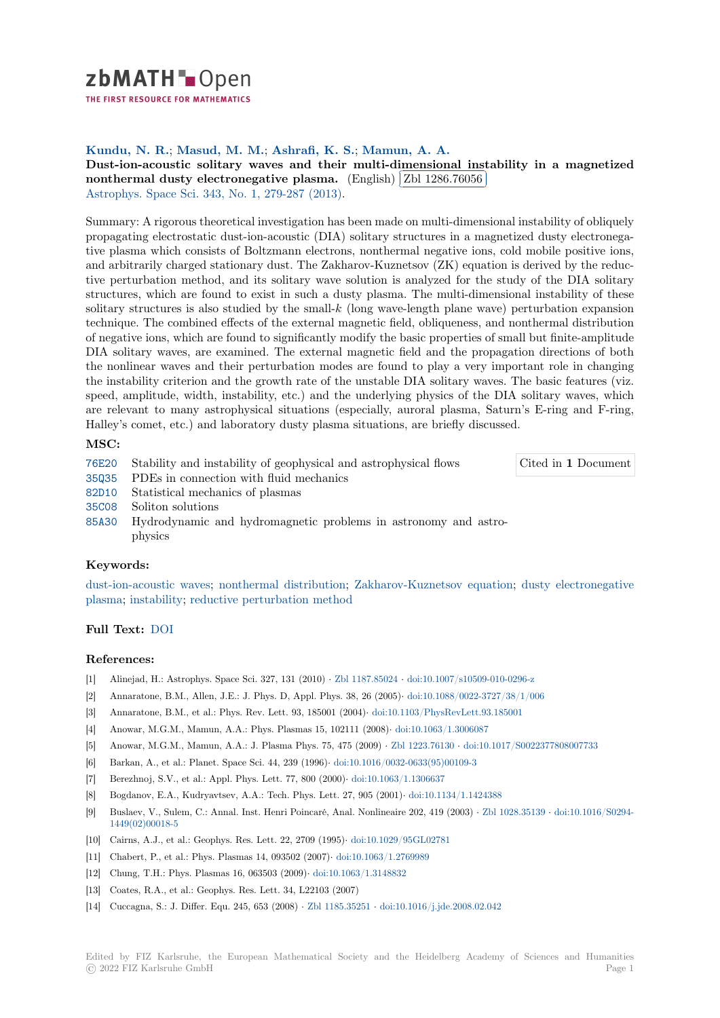

THE FIRST RESOURCE FOR MATHEMATICS

# **Kundu, N. R.**; **Masud, M. M.**; **Ashrafi, K. S.**; **Mamun, A. A.**

**[D](https://zbmath.org/)ust-ion-acoustic solitary waves and their multi-dimensional instability in a magnetized** Dust-ion-acoustic solitary waves and their multi-dility nonthermal dusty electronegative plasma. (English) ✂ Zbl 1286.76056 Ļ,

Astrophys. Space Sci. 343, No. 1, 279-287 (2013).

[Summary: A rigorous theoretical investigation has been made on multi-dimensional instability of obliquely](https://zbmath.org/1286.76056) [propagating electrostatic dust-ion-acoustic \(DIA](https://zbmath.org/1286.76056)) solitarys[tructures in a mag](https://zbmath.org/1286.76056)netized dusty electronega[tive plasma which con](https://zbmath.org/journals/?q=se:41)[sists of Boltzmann electron](https://zbmath.org/?q=in:313248)s, nonthermal negative ions, cold mobile positive ions, and arbitrarily charged stationary dust. The Zakharov-Kuznetsov (ZK) equation is derived by the reductive perturbation method, and its solitary wave solution is analyzed for the study of the DIA solitary structures, which are found to exist in such a dusty plasma. The multi-dimensional instability of these solitary structures is also studied by the small-*k* (long wave-length plane wave) perturbation expansion technique. The combined effects of the external magnetic field, obliqueness, and nonthermal distribution of negative ions, which are found to significantly modify the basic properties of small but finite-amplitude DIA solitary waves, are examined. The external magnetic field and the propagation directions of both the nonlinear waves and their perturbation modes are found to play a very important role in changing the instability criterion and the growth rate of the unstable DIA solitary waves. The basic features (viz. speed, amplitude, width, instability, etc.) and the underlying physics of the DIA solitary waves, which are relevant to many astrophysical situations (especially, auroral plasma, Saturn's E-ring and F-ring, Halley's comet, etc.) and laboratory dusty plasma situations, are briefly discussed.

## **MSC:**

76E20 Stability and instability of geophysical and astrophysical flows

Cited in **1** Document

- 35Q35 PDEs in connection with fluid mechanics
- 82D10 Statistical mechanics of plasmas
- 35C08 Soliton solutions
- [85A30](https://zbmath.org/classification/?q=cc:76E20) Hydrodynamic and hydromagnetic problems in astronomy and astrophysics

## **[Keyw](https://zbmath.org/classification/?q=cc:35C08)ords:**

[dust-io](https://zbmath.org/classification/?q=cc:85A30)n-acoustic waves; nonthermal distribution; Zakharov-Kuznetsov equation; dusty electronegative plasma; instability; reductive perturbation method

## **Full Text:** DOI

### **[Refere](https://zbmath.org/?q=ut:dusty+electronegative+plasma)[nces:](https://zbmath.org/?q=ut:instability)**

- [1] Alinejad, H.: Astrophys. Space Sci. 327, 131 (2010) *·* Zbl 1187.85024 *·* doi:10.1007/s10509-010-0296-z
- [2] Annarato[ne, B.](https://dx.doi.org/10.1007/s10509-012-1223-2)M., Allen, J.E.: J. Phys. D, Appl. Phys. 38, 26 (2005)*·* doi:10.1088/0022-3727/38/1/006
- [3] Annaratone, B.M., et al.: Phys. Rev. Lett. 93, 185001 (2004)*·* doi:10.1103/PhysRevLett.93.185001
- [4] Anowar, M.G.M., Mamun, A.A.: Phys. Plasmas 15, 102111 (2008)*·* doi:10.1063/1.3006087
- [5] Anowar, M.G.M., Mamun, A.A.: J. Plasma Phys. 75, [475 \(2009\)](https://zbmath.org/1187.85024) *·* Zbl 1223.76130 *·* [doi:10.1017/S002](https://dx.doi.org/10.1007/s10509-010-0296-z)2377808007733
- [6] Barkan, A., et al.: Planet. Space Sci. 44, 239 (1996)*·* doi:10.1016/0032[-0633\(95\)00109-3](https://dx.doi.org/10.1088/0022-3727/38/1/006)
- [7] Berezhnoj, S.V., et al.: Appl. Phys. Lett. 77, 800 (2000)*·* doi:1[0.1063/1.1306637](https://dx.doi.org/10.1103/PhysRevLett.93.185001)
- [8] Bogdanov, E.A., Kudryavtsev, A.A.: Tech. Phys. Lett. 27, 905 (2001)*·* [doi:10.1134/1.14243](https://dx.doi.org/10.1063/1.3006087)88
- [9] Buslaev, V., Sulem, C.: Annal. Inst. Henri Poincaré, [Anal. Nonline](https://dx.doi.org/10.1016/0032-0633(95)00109-3)[aire 202, 419 \(2](https://zbmath.org/1223.76130)[003\)](https://dx.doi.org/10.1016/0032-0633(95)00109-3) *·* [Zbl 1028.35139](https://dx.doi.org/10.1017/S0022377808007733) *·* doi:10.1016/S0294- 1449(02)00018-5
- [10] Cairns, A.J., et al.: Geophys. Res. Lett. 22, 2709 (1995)*·* [doi:10.1029/95GL0278](https://dx.doi.org/10.1063/1.1306637)1
- [11] Chabert, P., et al.: Phys. Plasmas 14, 093502 (2007)*·* doi:10.1063/1.27[69989](https://dx.doi.org/10.1134/1.1424388)
- [12] Chung, T.H.: Phys. Plasmas 16, 063503 (2009)*·* doi:10.1063/1.3148832
- [13] [Coates, R.A., et](https://dx.doi.org/10.1016/S0294-1449(02)00018-5) al.: Geophys. Res. Lett. 34, L22103 (2007)
- [14] Cuccagna, S.: J. Differ. Equ. 245, 653 (2008) *·* Zbl 1185.35251 *·* [doi:10.1016/j.jde](https://dx.doi.org/10.1029/95GL02781).2008.02.042